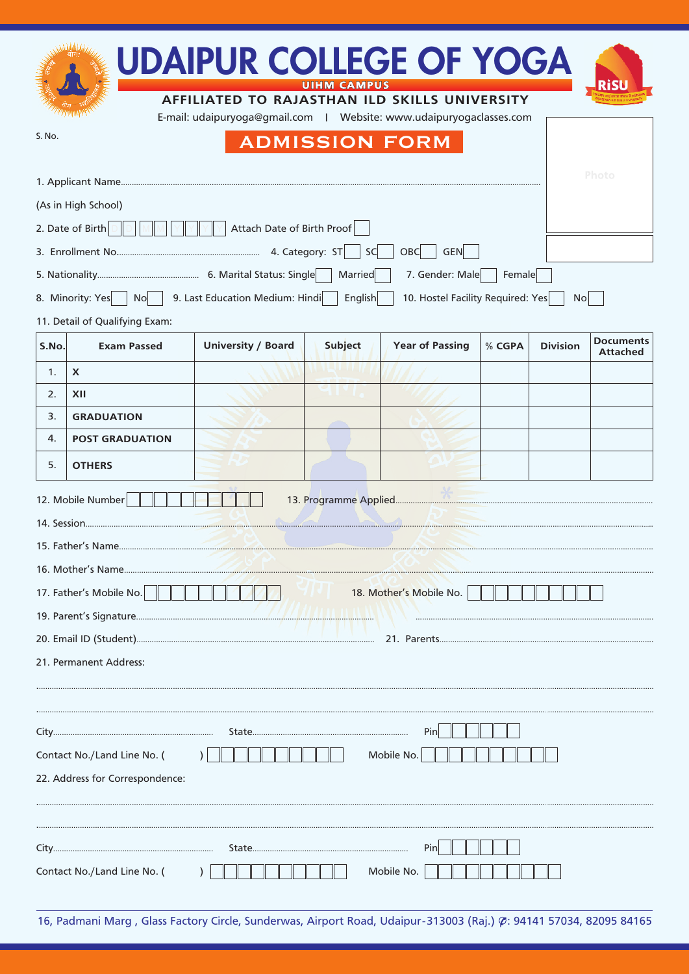| <b>UDAIPUR COLLEGE OF YOGA</b><br><b>Ris</b><br>UIHM CAMPUS<br>AFFILIATED TO RAJASTHAN ILD SKILLS UNIVERSITY<br>E-mail: udaipuryoga@gmail.com   Website: www.udaipuryogaclasses.com |                                |                                 |                |                                   |        |                 |                                     |  |  |
|-------------------------------------------------------------------------------------------------------------------------------------------------------------------------------------|--------------------------------|---------------------------------|----------------|-----------------------------------|--------|-----------------|-------------------------------------|--|--|
| S. No.<br><b>ADMISSION FORM</b>                                                                                                                                                     |                                |                                 |                |                                   |        |                 |                                     |  |  |
| Photo                                                                                                                                                                               |                                |                                 |                |                                   |        |                 |                                     |  |  |
| (As in High School)                                                                                                                                                                 |                                |                                 |                |                                   |        |                 |                                     |  |  |
| 2. Date of Birth<br>Attach Date of Birth Proof                                                                                                                                      |                                |                                 |                |                                   |        |                 |                                     |  |  |
| OBC<br><b>GEN</b><br>SC                                                                                                                                                             |                                |                                 |                |                                   |        |                 |                                     |  |  |
|                                                                                                                                                                                     | 8. Minority: Yes   No          |                                 | Married        | 7. Gender: Male                   | Female |                 |                                     |  |  |
|                                                                                                                                                                                     | 11. Detail of Qualifying Exam: | 9. Last Education Medium: Hindi | <b>English</b> | 10. Hostel Facility Required: Yes |        | N <sub>O</sub>  |                                     |  |  |
| S.No.                                                                                                                                                                               | <b>Exam Passed</b>             | <b>University / Board</b>       | <b>Subject</b> | <b>Year of Passing</b>            | % CGPA | <b>Division</b> | <b>Documents</b><br><b>Attached</b> |  |  |
| 1.                                                                                                                                                                                  | $\boldsymbol{\mathsf{X}}$      |                                 |                |                                   |        |                 |                                     |  |  |
| 2.                                                                                                                                                                                  | XII                            |                                 |                |                                   |        |                 |                                     |  |  |
| 3.                                                                                                                                                                                  | <b>GRADUATION</b>              |                                 |                |                                   |        |                 |                                     |  |  |
| 4.                                                                                                                                                                                  | <b>POST GRADUATION</b>         |                                 |                |                                   |        |                 |                                     |  |  |
| 5.                                                                                                                                                                                  | <b>OTHERS</b>                  |                                 |                |                                   |        |                 |                                     |  |  |
| 12. Mobile Number                                                                                                                                                                   |                                |                                 |                |                                   |        |                 |                                     |  |  |
|                                                                                                                                                                                     |                                |                                 |                |                                   |        |                 |                                     |  |  |
|                                                                                                                                                                                     |                                |                                 |                |                                   |        |                 |                                     |  |  |
|                                                                                                                                                                                     |                                |                                 |                |                                   |        |                 |                                     |  |  |
| 17. Father's Mobile No.<br>18. Mother's Mobile No.                                                                                                                                  |                                |                                 |                |                                   |        |                 |                                     |  |  |
|                                                                                                                                                                                     |                                |                                 |                |                                   |        |                 |                                     |  |  |
|                                                                                                                                                                                     |                                |                                 |                |                                   |        |                 |                                     |  |  |
| 21. Permanent Address:                                                                                                                                                              |                                |                                 |                |                                   |        |                 |                                     |  |  |
|                                                                                                                                                                                     |                                |                                 |                |                                   |        |                 |                                     |  |  |
| Pin                                                                                                                                                                                 |                                |                                 |                |                                   |        |                 |                                     |  |  |
| Contact No./Land Line No. (<br>Mobile No.                                                                                                                                           |                                |                                 |                |                                   |        |                 |                                     |  |  |
| 22. Address for Correspondence:                                                                                                                                                     |                                |                                 |                |                                   |        |                 |                                     |  |  |
|                                                                                                                                                                                     |                                |                                 |                |                                   |        |                 |                                     |  |  |
| Pin                                                                                                                                                                                 |                                |                                 |                |                                   |        |                 |                                     |  |  |
| Mobile No.<br>Contact No./Land Line No. (                                                                                                                                           |                                |                                 |                |                                   |        |                 |                                     |  |  |

16, Padmani Marg, Glass Factory Circle, Sunderwas, Airport Road, Udaipur-313003 (Raj.) Ø: 94141 57034, 82095 84165